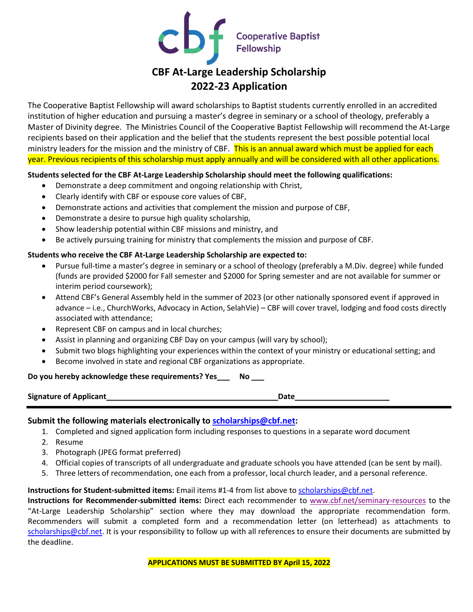

# **CBF At-Large Leadership Scholarship 2022-23 Application**

The Cooperative Baptist Fellowship will award scholarships to Baptist students currently enrolled in an accredited institution of higher education and pursuing a master's degree in seminary or a school of theology, preferably a Master of Divinity degree. The Ministries Council of the Cooperative Baptist Fellowship will recommend the At-Large recipients based on their application and the belief that the students represent the best possible potential local ministry leaders for the mission and the ministry of CBF. This is an annual award which must be applied for each year. Previous recipients of this scholarship must apply annually and will be considered with all other applications.

### **Students selected for the CBF At-Large Leadership Scholarship should meet the following qualifications:**

- Demonstrate a deep commitment and ongoing relationship with Christ,
- Clearly identify with CBF or espouse core values of CBF,
- Demonstrate actions and activities that complement the mission and purpose of CBF,
- Demonstrate a desire to pursue high quality scholarship,
- Show leadership potential within CBF missions and ministry, and
- Be actively pursuing training for ministry that complements the mission and purpose of CBF.

### **Students who receive the CBF At-Large Leadership Scholarship are expected to:**

- Pursue full-time a master's degree in seminary or a school of theology (preferably a M.Div. degree) while funded (funds are provided \$2000 for Fall semester and \$2000 for Spring semester and are not available for summer or interim period coursework);
- Attend CBF's General Assembly held in the summer of 2023 (or other nationally sponsored event if approved in advance – i.e., ChurchWorks, Advocacy in Action, SelahVie) – CBF will cover travel, lodging and food costs directly associated with attendance;
- Represent CBF on campus and in local churches;
- Assist in planning and organizing CBF Day on your campus (will vary by school);
- Submit two blogs highlighting your experiences within the context of your ministry or educational setting; and
- Become involved in state and regional CBF organizations as appropriate.

#### **Do you hereby acknowledge these requirements? Yes\_\_\_ No \_\_\_**

**Signature of Applicant Date Date Date Date Date Date** 

**Submit the following materials electronically to [scholarships@cbf.net:](mailto:scholarships@cbf.net)**

- 1. Completed and signed application form including responses to questions in a separate word document
- 2. Resume
- 3. Photograph (JPEG format preferred)
- 4. Official copies of transcripts of all undergraduate and graduate schools you have attended (can be sent by mail).
- 5. Three letters of recommendation, one each from a professor, local church leader, and a personal reference.

# **Instructions for Student-submitted items:** Email items #1-4 from list above t[o scholarships@cbf.net.](mailto:scholarships@cbf.net)

**Instructions for Recommender-submitted items:** Direct each recommender to [www.cbf.net/seminary-resources](http://www.cbf.net/seminary-resources) to the "At-Large Leadership Scholarship" section where they may download the appropriate recommendation form. Recommenders will submit a completed form and a recommendation letter (on letterhead) as attachments to [scholarships@cbf.net.](mailto:scholarships@cbf.net) It is your responsibility to follow up with all references to ensure their documents are submitted by the deadline.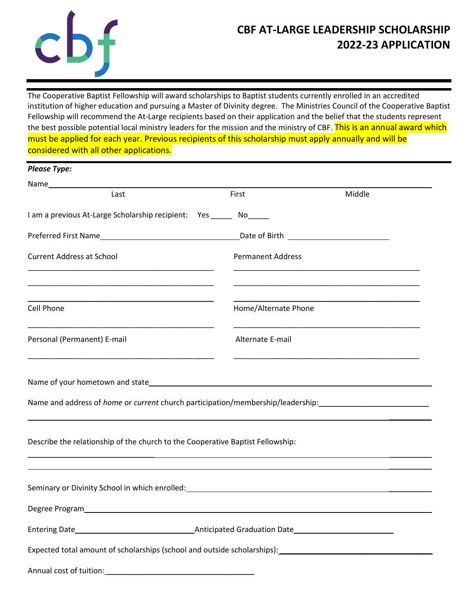

# **CBF AT-LARGE LEADERSHIP SCHOLARSHIP 2022-23 APPLICATION**

The Cooperative Baptist Fellowship will award scholarships to Baptist students currently enrolled in an accredited institution of higher education and pursuing a Master of Divinity degree. The Ministries Council of the Cooperative Baptist Fellowship will recommend the At-Large recipients based on their application and the belief that the students represent the best possible potential local ministry leaders for the mission and the ministry of CBF. This is an annual award which must be applied for each year. Previous recipients of this scholarship must apply annually and will be considered with all other applications.

| <b>Please Type:</b> |  |
|---------------------|--|
|---------------------|--|

| Last                                                                                                                                                                                                                 | First                    | Middle |
|----------------------------------------------------------------------------------------------------------------------------------------------------------------------------------------------------------------------|--------------------------|--------|
| I am a previous At-Large Scholarship recipient: Yes ______ No_____                                                                                                                                                   |                          |        |
|                                                                                                                                                                                                                      |                          |        |
| <b>Current Address at School</b>                                                                                                                                                                                     | <b>Permanent Address</b> |        |
| Cell Phone                                                                                                                                                                                                           | Home/Alternate Phone     |        |
| Personal (Permanent) E-mail                                                                                                                                                                                          | Alternate E-mail         |        |
|                                                                                                                                                                                                                      |                          |        |
| Name and address of <i>home</i> or <i>current</i> church participation/membership/leadership:                                                                                                                        |                          |        |
| Describe the relationship of the church to the Cooperative Baptist Fellowship:                                                                                                                                       |                          |        |
|                                                                                                                                                                                                                      |                          |        |
|                                                                                                                                                                                                                      |                          |        |
| Entering Date <b>Mate Entering Date Mate 2018 CONFIGURE: CONFIGURE: <b>CONFIGURE: CONFIGURE: <b>CONFIGURE: CONFIGURE: CONFIGURE: CONFIGURE: CONFIGURE: CONFIGURE: CONFIGURE: CONFIGURE: CONFIGURE: CONFI</b></b></b> |                          |        |
|                                                                                                                                                                                                                      |                          |        |
| Annual cost of tuition:                                                                                                                                                                                              |                          |        |